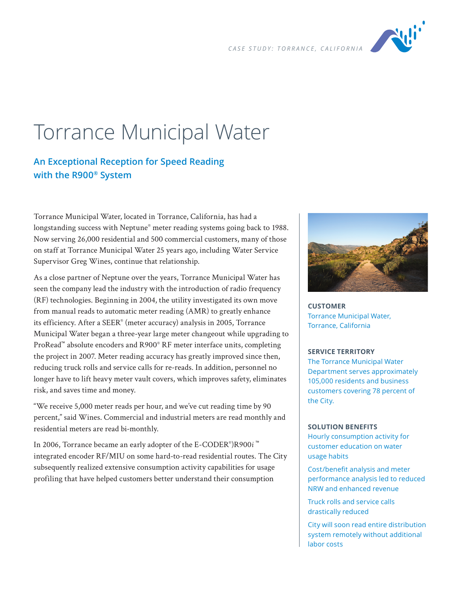

# Torrance Municipal Water

## **An Exceptional Reception for Speed Reading with the R900® System**

Torrance Municipal Water, located in Torrance, California, has had a longstanding success with Neptune<sup>®</sup> meter reading systems going back to 1988. Now serving 26,000 residential and 500 commercial customers, many of those on staff at Torrance Municipal Water 25 years ago, including Water Service Supervisor Greg Wines, continue that relationship.

As a close partner of Neptune over the years, Torrance Municipal Water has seen the company lead the industry with the introduction of radio frequency (RF) technologies. Beginning in 2004, the utility investigated its own move from manual reads to automatic meter reading (AMR) to greatly enhance its efficiency. After a SEER® (meter accuracy) analysis in 2005, Torrance Municipal Water began a three-year large meter changeout while upgrading to ProRead™ absolute encoders and R900® RF meter interface units, completing the project in 2007. Meter reading accuracy has greatly improved since then, reducing truck rolls and service calls for re-reads. In addition, personnel no longer have to lift heavy meter vault covers, which improves safety, eliminates risk, and saves time and money.

"We receive 5,000 meter reads per hour, and we've cut reading time by 90 percent," said Wines. Commercial and industrial meters are read monthly and residential meters are read bi-monthly.

In 2006, Torrance became an early adopter of the E-CODER® )R900*i* ™ integrated encoder RF/MIU on some hard-to-read residential routes. The City subsequently realized extensive consumption activity capabilities for usage profiling that have helped customers better understand their consumption



**CUSTOMER** Torrance Municipal Water, Torrance, California

#### **SERVICE TERRITORY**

The Torrance Municipal Water Department serves approximately 105,000 residents and business customers covering 78 percent of the City.

#### **SOLUTION BENEFITS**

Hourly consumption activity for customer education on water usage habits

Cost/benefit analysis and meter performance analysis led to reduced NRW and enhanced revenue

Truck rolls and service calls drastically reduced

City will soon read entire distribution system remotely without additional labor costs